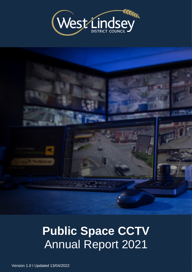



# **Public Space CCTV** Annual Report 2021

Version 1.0 I Updated 13/04/2022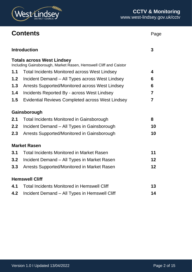

### **Contents** Page

|     | <b>Introduction</b>                                                                                   | 3               |
|-----|-------------------------------------------------------------------------------------------------------|-----------------|
|     | <b>Totals across West Lindsey</b><br>Including Gainsborough, Market Rasen, Hemswell Cliff and Caistor |                 |
| 1.1 | <b>Total Incidents Monitored across West Lindsey</b>                                                  | 4               |
| 1.2 | Incident Demand - All Types across West Lindsey                                                       | 6               |
| 1.3 | Arrests Supported/Monitored across West Lindsey                                                       | 6               |
| 1.4 | Incidents Reported By - across West Lindsey                                                           | $\overline{7}$  |
| 1.5 | <b>Evidential Reviews Completed across West Lindsey</b>                                               | $\overline{7}$  |
|     | Gainsborough                                                                                          |                 |
| 2.1 | <b>Total Incidents Monitored in Gainsborough</b>                                                      | 8               |
| 2.2 | Incident Demand - All Types in Gainsborough                                                           | 10              |
| 2.3 | Arrests Supported/Monitored in Gainsborough                                                           | 10              |
|     | <b>Market Rasen</b>                                                                                   |                 |
| 3.1 | <b>Total Incidents Monitored in Market Rasen</b>                                                      | 11              |
| 3.2 | Incident Demand - All Types in Market Rasen                                                           | $12 \,$         |
| 3.3 | Arrests Supported/Monitored in Market Rasen                                                           | 12 <sub>2</sub> |
|     | <b>Hemswell Cliff</b>                                                                                 |                 |
| 4.1 | <b>Total Incidents Monitored in Hemswell Cliff</b>                                                    | 13              |
| 4.2 | Incident Demand - All Types in Hemswell Cliff                                                         | 14              |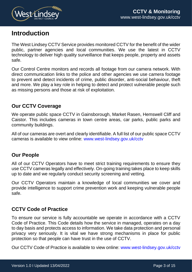

### **Introduction**

The West Lindsey CCTV Service provides monitored CCTV for the benefit of the wider public, partner agencies and local communities. We use the latest in CCTV technology to deliver high quality surveillance that keeps people, property and assets safe.

Our Control Centre monitors and records all footage from our camera network. With direct communication links to the police and other agencies we use camera footage to prevent and detect incidents of crime, public disorder, anti-social behaviour, theft and more. We play a key role in helping to detect and protect vulnerable people such as missing persons and those at risk of exploitation.

### **Our CCTV Coverage**

We operate public space CCTV in Gainsborough, Market Rasen, Hemswell Cliff and Caistor. This includes cameras in town centre areas, car parks, public parks and community buildings.

All of our cameras are overt and clearly identifiable. A full list of our public space CCTV cameras is available to view online: [www.west-lindsey.gov.uk/cctv](http://www.west-lindsey.gov.uk/cctv)

#### **Our People**

All of our CCTV Operators have to meet strict training requirements to ensure they use CCTV cameras legally and effectively. On-going training takes place to keep skills up to date and we regularly conduct security screening and vetting.

Our CCTV Operators maintain a knowledge of local communities we cover and provide intelligence to support crime prevention work and keeping vulnerable people safe.

### **CCTV Code of Practice**

To ensure our service is fully accountable we operate in accordance with a CCTV Code of Practice. This Code details how the service in managed, operates on a day to day basis and protects access to information. We take data protection and personal privacy very seriously. It is vital we have strong mechanisms in place for public protection so that people can have trust in the use of CCTV.

Our CCTV Code of Practice is available to view online: [www.west-lindsey.gov.uk/cctv](http://www.west-lindsey.gov.uk/cctv)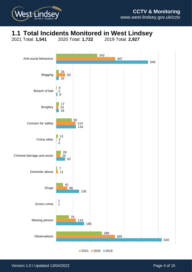

# **1.1 Total Incidents Monitored in West Lindsey**



Total: **1,541** 2020 Total: **1,722** 2019 Total: **2,927**

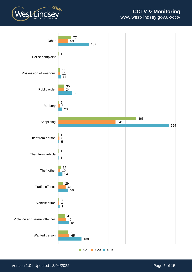



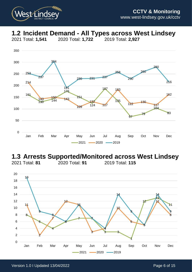

# **1.2 Incident Demand - All Types across West Lindsey**

2021 Total: **1,541** 2020 Total: **1,722** 2019 Total: **2,927**



#### **1.3 Arrests Supported/Monitored across West Lindsey**<br>2021 Total: 81 **2020 Total: 91** 2019 Total: 115 2021 Total: **81** 2020 Total: **91** 2019 Total: **115**

  $7 \rightarrow 7$  3 11 ò Jan Feb Mar Apr May Jun Jul Aug Sep Oct Nov Dec  $-2021$   $-2020$   $-2019$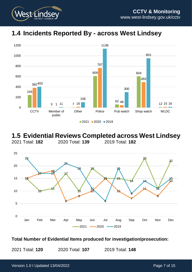

### **1.4 Incidents Reported By - across West Lindsey**



#### **1.5 Evidential Reviews Completed across West Lindsey** 2021 Total: **182** 2020 Total: **139** 2019 Total: **182**



#### **Total Number of Evidential Items produced for investigation/prosecution:**

2021 Total: **120** 2020 Total: **107** 2019 Total: **148**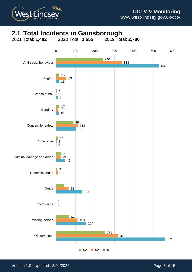

# **2.1 Total Incidents in Gainsborough**<br>2021 Total: **1,482** 2020 Total: **1,655** 2019 Total: 2,786



2020 2019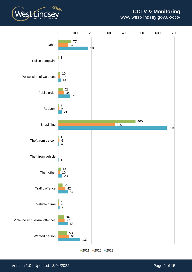### **CCTV & Monitoring**



www.west-lindsey.gov.uk/cctv



Version 1.0 I Updated 13/04/2022 **Page 9 of 15**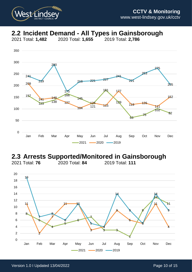

# **2.2 Incident Demand - All Types in Gainsborough**



### **2.3 Arrests Supported/Monitored in Gainsborough**<br>2021 Total: 76 **2020 Total: 84** 2019 Total: 111

2021 Total: **76** 2020 Total: **84** 2019 Total: **111**

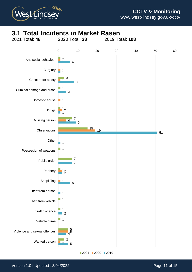

## **3.1 Total Incidents in Market Rasen**<br>2021 Total: 48 2020 Total: 38 2019 To



2020 2019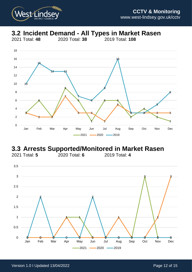

## **3.2 Incident Demand - All Types in Market Rasen**

2021 Total: **48** 2020 Total: **38** 2019 Total: **108**



### **3.3 Arrests Supported/Monitored in Market Rasen**<br>2021 Total: 5 2020 Total: 6 2019 Total: 4 2021 Total: **5** 2020 Total: **6** 2019 Total: **4**

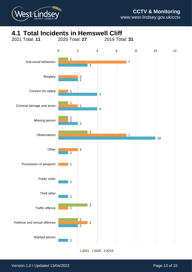

## **4.1 Total Incidents in Hemswell Cliff**<br>2021 Total: 11 2020 Total: 27 2019 Tot



2020 2019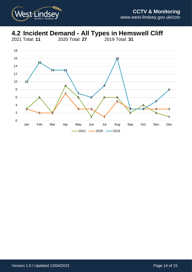

### **4.2 Incident Demand - All Types in Hemswell Cliff**

2021 Total: **11** 2020 Total: **27** 2019 Total: **31**